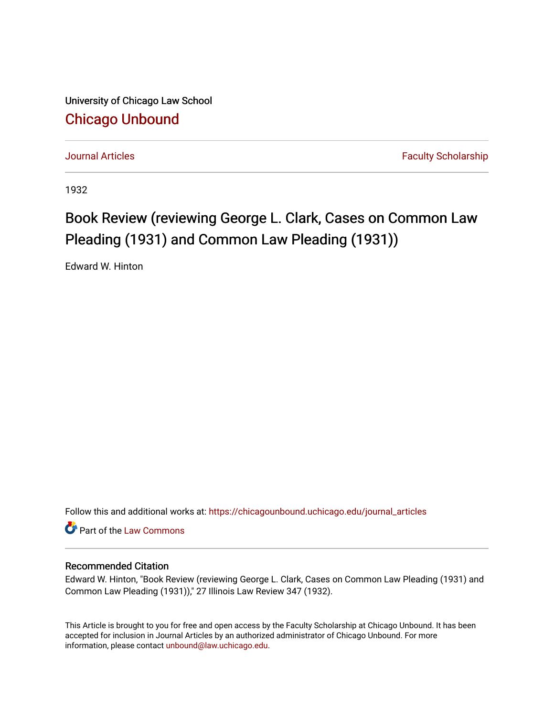University of Chicago Law School [Chicago Unbound](https://chicagounbound.uchicago.edu/)

[Journal Articles](https://chicagounbound.uchicago.edu/journal_articles) **Faculty Scholarship Journal Articles** 

1932

## Book Review (reviewing George L. Clark, Cases on Common Law Pleading (1931) and Common Law Pleading (1931))

Edward W. Hinton

Follow this and additional works at: [https://chicagounbound.uchicago.edu/journal\\_articles](https://chicagounbound.uchicago.edu/journal_articles?utm_source=chicagounbound.uchicago.edu%2Fjournal_articles%2F8926&utm_medium=PDF&utm_campaign=PDFCoverPages) 

Part of the [Law Commons](http://network.bepress.com/hgg/discipline/578?utm_source=chicagounbound.uchicago.edu%2Fjournal_articles%2F8926&utm_medium=PDF&utm_campaign=PDFCoverPages)

## Recommended Citation

Edward W. Hinton, "Book Review (reviewing George L. Clark, Cases on Common Law Pleading (1931) and Common Law Pleading (1931))," 27 Illinois Law Review 347 (1932).

This Article is brought to you for free and open access by the Faculty Scholarship at Chicago Unbound. It has been accepted for inclusion in Journal Articles by an authorized administrator of Chicago Unbound. For more information, please contact [unbound@law.uchicago.edu](mailto:unbound@law.uchicago.edu).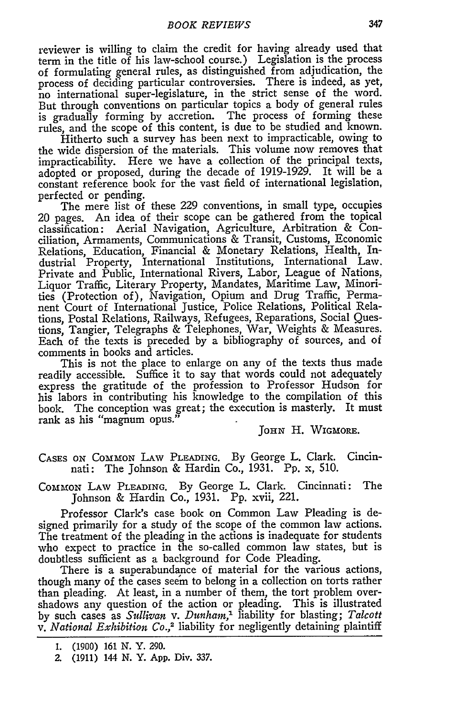reviewer is willing to claim the credit for having already used that term in the title of his law-school course.) Legislation is the process of formulating general rules, as distinguished from adjudication, the process of deciding particular controversies. There is indeed, as yet, no international super-legislature, in the strict sense of the word. But through conventions on particular topics a body of general rules is gradually forming by accretion. The process of forming these rules, and the scope of this content, is due to be studied and known.

Hitherto such a survey has been next to impracticable, owing to the wide dispersion of the materials. This volume now removes that impracticability. Here we have a collection of the principal texts, adopted or proposed, during the decade of 1919-1929. It will be a constant reference book for the vast field of international legislation, perfected or pending.

The mere list of these 229 conventions, in small type, occupies 20 pages. An idea of their scope can be gathered from the topical classification: Aerial Navigation, Agriculture, Arbitration & Conciliation, Armaments, Communications & Transit, Customs, Economic Relations, Education, Financial & Monetary Relations, Health, Industrial Property, International Institutions, International Law. Private and Public, International Rivers, Labor, League of Nations, Liquor Traffic, Literary Property, Mandates, Maritime Law, Minorities (Protection of), Navigation, Opium and Drug Traffic, Permanent Court of International Justice, Police Relations, Political Relations, Postal Relations, Railways, Refugees, Reparations, Social Questions, Tangier, Telegraphs & Telephones, War, Weights & Measures. Each of the texts is preceded by a bibliography of sources, and of comments in books and articles.

This is not the place to enlarge on any of the texts thus made readily accessible. Suffice it to say that words could not adequately express the gratitude of the profession to Professor Hudson for his labors in contributing his knowledge to the compilation of this book. The conception was great; the execution is masterly. It must rank as his "magnum opus."

JOHN H. WIGMORE.

CASES **ON** COMMON LAw PLEADING. By George L. Clark. Cincinnati: The Johnson & Hardin Co., 1931. Pp. x, 510.

COMMON LAW PLEADING. By George L. Clark. Cincinnati: The Johnson & Hardin Co., 1931. Pp. xvii, 221.

Professor Clark's case book on Common Law Pleading is designed primarily for a study of the scope of the common law actions. The treatment of the pleading in the actions is inadequate for students who expect to practice in the so-called common law states, but is doubtless sufficient as a background for Code Pleading.

There is a superabundance of material for the various actions, though many of the cases seem to belong in a collection on torts rather than pleading. At least, in a number of them, the tort problem overshadows any question of the action or pleading. This is illustrated by such cases as *Sullivan v. Dunham,'* liability for blasting; *Talcott v. National Exhibition Co.,2* liability for negligently detaining plaintiff

<sup>1. (1900) 161</sup> N. Y. 290.

Z (1911) 144 N. Y. App. Div. 337.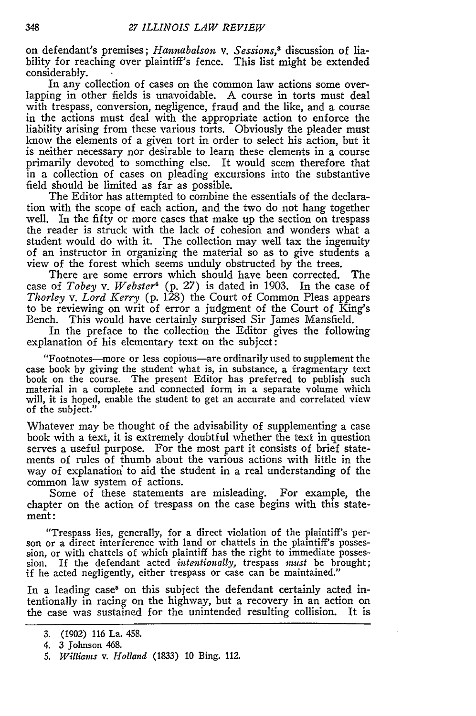on defendant's premises; *Hannabalson v. Sessions,3* discussion of liability for reaching over plaintiff's fence. This list might be extended considerably.

In any collection of cases on the common law actions some overlapping in other fields is unavoidable. A course in torts must deal with trespass, conversion, negligence, fraud and the like, and a course in the actions must deal with the appropriate action to enforce the liability arising from these various torts. Obviously the pleader must know the elements of a given tort in order to select his action, but it is neither necessary nor desirable to learn these elements in a course primarily devoted to something else. It would seem therefore that in a collection of cases on pleading excursions into the substantive field should be limited as far as possible.

The Editor has attempted to combine the essentials of the declaration with the scope of each action, and the two do not hang together well. In the fifty or more cases that make up the section on trespass the reader is struck with the lack of cohesion and wonders what a student would do with it. The collection may well tax the ingenuity of an instructor in organizing the material so as to give students a view of the forest which seems unduly obstructed by the trees.

There are some errors which should have been corrected. The case of *Tobey v. Webster4* (p. 27) is dated in 1903. In the case of *Thorley v. Lord Kerry* (p. 128) the Court of Common Pleas appears to be reviewing on writ of error a judgment of the Court of King's Bench. This would have certainly surprised Sir James Mansfield.

In the preface to the collection the Editor gives the following explanation of his elementary text on the subject:

"Footnotes-more or less copious-are ordinarily used to supplement the case book by giving the student what is, in substance, a fragmentary text book on the course. The present Editor has preferred to publish such material in a complete and connected form in a separate volume which will, it is hoped, enable the student to get an accurate and correlated view of the subject."

Whatever may be thought of the advisability of supplementing a case book with a text, it is extremely doubtful whether the text in question serves a useful purpose. For the most part it consists of brief statements of rules of thumb about the various actions with little in the way of explanatior to aid the student in a real understanding of the common law system of actions.

Some of these statements are misleading. For example, the chapter on the action of trespass on the case begins with this statement:

"Trespass lies, generally, for a direct violation of the plaintiff's person or a direct interference with land or chattels in the plaintiff's possession, or with chattels of which plaintiff has the right to immediate possession. If the defendant acted *intentionally*, trespass *must* be brought; if he acted negligently, either trespass or case can be maintained."

In a leading case<sup>5</sup> on this subject the defendant certainly acted intentionally in racing on the highway, but a recovery in an action on the case was sustained for the unintended resulting collision. It is

<sup>3. (1902) 116</sup> La. 458.

<sup>4. 3</sup> Johnson 468.

*<sup>5.</sup> Williams v. Holland* (1833) 10 Bing. 112.